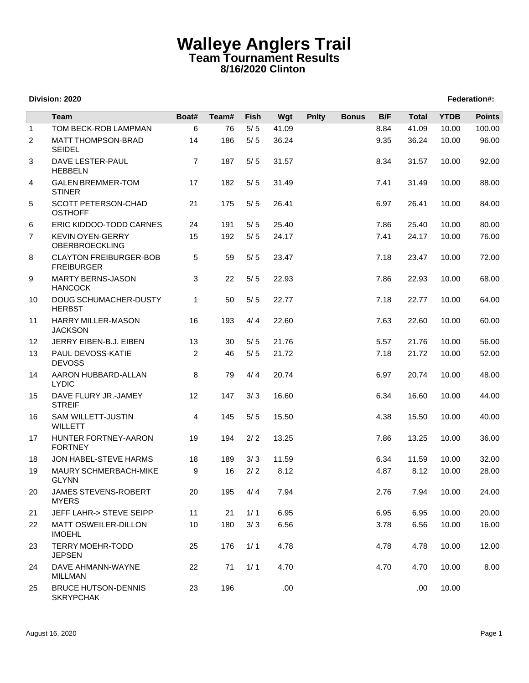## **Walleye Anglers Trail Team Tournament Results 8/16/2020 Clinton**

## **Division: 2020 Federation#:**

|                | <b>Team</b>                                        | Boat#          | Team# | Fish  | Wgt   | <b>Pnlty</b> | <b>Bonus</b> | B/F  | <b>Total</b> | <b>YTDB</b> | <b>Points</b> |
|----------------|----------------------------------------------------|----------------|-------|-------|-------|--------------|--------------|------|--------------|-------------|---------------|
| $\mathbf{1}$   | TOM BECK-ROB LAMPMAN                               | 6              | 76    | $5/5$ | 41.09 |              |              | 8.84 | 41.09        | 10.00       | 100.00        |
| $\overline{c}$ | <b>MATT THOMPSON-BRAD</b><br><b>SEIDEL</b>         | 14             | 186   | $5/5$ | 36.24 |              |              | 9.35 | 36.24        | 10.00       | 96.00         |
| 3              | <b>DAVE LESTER-PAUL</b><br><b>HEBBELN</b>          | $\overline{7}$ | 187   | $5/5$ | 31.57 |              |              | 8.34 | 31.57        | 10.00       | 92.00         |
| 4              | <b>GALEN BREMMER-TOM</b><br><b>STINER</b>          | 17             | 182   | $5/5$ | 31.49 |              |              | 7.41 | 31.49        | 10.00       | 88.00         |
| 5              | SCOTT PETERSON-CHAD<br><b>OSTHOFF</b>              | 21             | 175   | $5/5$ | 26.41 |              |              | 6.97 | 26.41        | 10.00       | 84.00         |
| 6              | ERIC KIDDOO-TODD CARNES                            | 24             | 191   | $5/5$ | 25.40 |              |              | 7.86 | 25.40        | 10.00       | 80.00         |
| $\overline{7}$ | <b>KEVIN OYEN-GERRY</b><br>OBERBROECKLING          | 15             | 192   | $5/5$ | 24.17 |              |              | 7.41 | 24.17        | 10.00       | 76.00         |
| 8              | <b>CLAYTON FREIBURGER-BOB</b><br><b>FREIBURGER</b> | 5              | 59    | $5/5$ | 23.47 |              |              | 7.18 | 23.47        | 10.00       | 72.00         |
| 9              | <b>MARTY BERNS-JASON</b><br><b>HANCOCK</b>         | 3              | 22    | $5/5$ | 22.93 |              |              | 7.86 | 22.93        | 10.00       | 68.00         |
| 10             | DOUG SCHUMACHER-DUSTY<br><b>HERBST</b>             | 1              | 50    | $5/5$ | 22.77 |              |              | 7.18 | 22.77        | 10.00       | 64.00         |
| 11             | <b>HARRY MILLER-MASON</b><br><b>JACKSON</b>        | 16             | 193   | 4/4   | 22.60 |              |              | 7.63 | 22.60        | 10.00       | 60.00         |
| 12             | JERRY EIBEN-B.J. EIBEN                             | 13             | 30    | $5/5$ | 21.76 |              |              | 5.57 | 21.76        | 10.00       | 56.00         |
| 13             | PAUL DEVOSS-KATIE<br><b>DEVOSS</b>                 | 2              | 46    | $5/5$ | 21.72 |              |              | 7.18 | 21.72        | 10.00       | 52.00         |
| 14             | AARON HUBBARD-ALLAN<br><b>LYDIC</b>                | 8              | 79    | 4/4   | 20.74 |              |              | 6.97 | 20.74        | 10.00       | 48.00         |
| 15             | DAVE FLURY JR.-JAMEY<br><b>STREIF</b>              | 12             | 147   | 3/3   | 16.60 |              |              | 6.34 | 16.60        | 10.00       | 44.00         |
| 16             | <b>SAM WILLETT-JUSTIN</b><br><b>WILLETT</b>        | 4              | 145   | $5/5$ | 15.50 |              |              | 4.38 | 15.50        | 10.00       | 40.00         |
| 17             | HUNTER FORTNEY-AARON<br><b>FORTNEY</b>             | 19             | 194   | 2/2   | 13.25 |              |              | 7.86 | 13.25        | 10.00       | 36.00         |
| 18             | JON HABEL-STEVE HARMS                              | 18             | 189   | 3/3   | 11.59 |              |              | 6.34 | 11.59        | 10.00       | 32.00         |
| 19             | MAURY SCHMERBACH-MIKE<br><b>GLYNN</b>              | 9              | 16    | $2/2$ | 8.12  |              |              | 4.87 | 8.12         | 10.00       | 28.00         |
| 20             | JAMES STEVENS-ROBERT<br><b>MYERS</b>               | 20             | 195   | 4/4   | 7.94  |              |              | 2.76 | 7.94         | 10.00       | 24.00         |
| 21             | JEFF LAHR-> STEVE SEIPP                            | 11             | 21    | 1/1   | 6.95  |              |              | 6.95 | 6.95         | 10.00       | 20.00         |
| 22             | <b>MATT OSWEILER-DILLON</b><br><b>IMOEHL</b>       | 10             | 180   | 3/3   | 6.56  |              |              | 3.78 | 6.56         | 10.00       | 16.00         |
| 23             | <b>TERRY MOEHR-TODD</b><br><b>JEPSEN</b>           | 25             | 176   | 1/1   | 4.78  |              |              | 4.78 | 4.78         | 10.00       | 12.00         |
| 24             | DAVE AHMANN-WAYNE<br><b>MILLMAN</b>                | 22             | 71    | 1/1   | 4.70  |              |              | 4.70 | 4.70         | 10.00       | 8.00          |
| 25             | <b>BRUCE HUTSON-DENNIS</b><br><b>SKRYPCHAK</b>     | 23             | 196   |       | .00.  |              |              |      | .00          | 10.00       |               |